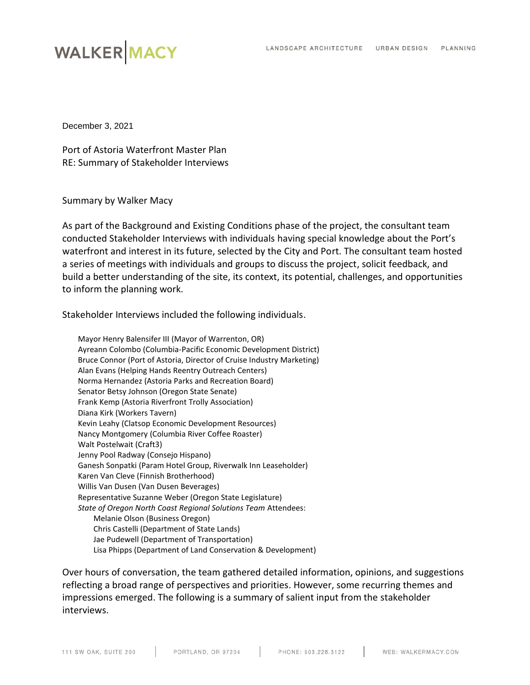# **WALKER MACY**

December 3, 2021

Port of Astoria Waterfront Master Plan RE: Summary of Stakeholder Interviews

Summary by Walker Macy

As part of the Background and Existing Conditions phase of the project, the consultant team conducted Stakeholder Interviews with individuals having special knowledge about the Port's waterfront and interest in its future, selected by the City and Port. The consultant team hosted a series of meetings with individuals and groups to discuss the project, solicit feedback, and build a better understanding of the site, its context, its potential, challenges, and opportunities to inform the planning work.

Stakeholder Interviews included the following individuals.

Mayor Henry Balensifer III (Mayor of Warrenton, OR) Ayreann Colombo (Columbia-Pacific Economic Development District) Bruce Connor (Port of Astoria, Director of Cruise Industry Marketing) Alan Evans (Helping Hands Reentry Outreach Centers) Norma Hernandez (Astoria Parks and Recreation Board) Senator Betsy Johnson (Oregon State Senate) Frank Kemp (Astoria Riverfront Trolly Association) Diana Kirk (Workers Tavern) Kevin Leahy (Clatsop Economic Development Resources) Nancy Montgomery (Columbia River Coffee Roaster) Walt Postelwait (Craft3) Jenny Pool Radway (Consejo Hispano) Ganesh Sonpatki (Param Hotel Group, Riverwalk Inn Leaseholder) Karen Van Cleve (Finnish Brotherhood) Willis Van Dusen (Van Dusen Beverages) Representative Suzanne Weber (Oregon State Legislature) *State of Oregon North Coast Regional Solutions Team* Attendees: Melanie Olson (Business Oregon) Chris Castelli (Department of State Lands) Jae Pudewell (Department of Transportation) Lisa Phipps (Department of Land Conservation & Development)

Over hours of conversation, the team gathered detailed information, opinions, and suggestions reflecting a broad range of perspectives and priorities. However, some recurring themes and impressions emerged. The following is a summary of salient input from the stakeholder interviews.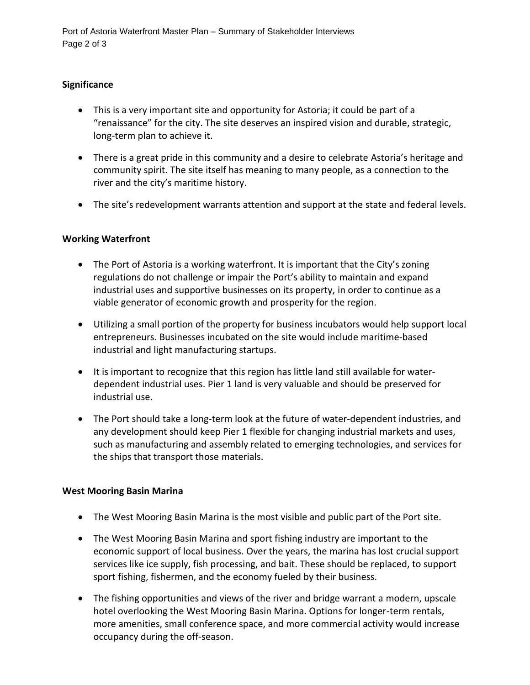Port of Astoria Waterfront Master Plan – Summary of Stakeholder Interviews Page 2 of 3

### **Significance**

- This is a very important site and opportunity for Astoria; it could be part of a "renaissance" for the city. The site deserves an inspired vision and durable, strategic, long-term plan to achieve it.
- There is a great pride in this community and a desire to celebrate Astoria's heritage and community spirit. The site itself has meaning to many people, as a connection to the river and the city's maritime history.
- The site's redevelopment warrants attention and support at the state and federal levels.

## **Working Waterfront**

- The Port of Astoria is a working waterfront. It is important that the City's zoning regulations do not challenge or impair the Port's ability to maintain and expand industrial uses and supportive businesses on its property, in order to continue as a viable generator of economic growth and prosperity for the region.
- Utilizing a small portion of the property for business incubators would help support local entrepreneurs. Businesses incubated on the site would include maritime-based industrial and light manufacturing startups.
- It is important to recognize that this region has little land still available for waterdependent industrial uses. Pier 1 land is very valuable and should be preserved for industrial use.
- The Port should take a long-term look at the future of water-dependent industries, and any development should keep Pier 1 flexible for changing industrial markets and uses, such as manufacturing and assembly related to emerging technologies, and services for the ships that transport those materials.

#### **West Mooring Basin Marina**

- The West Mooring Basin Marina is the most visible and public part of the Port site.
- The West Mooring Basin Marina and sport fishing industry are important to the economic support of local business. Over the years, the marina has lost crucial support services like ice supply, fish processing, and bait. These should be replaced, to support sport fishing, fishermen, and the economy fueled by their business.
- The fishing opportunities and views of the river and bridge warrant a modern, upscale hotel overlooking the West Mooring Basin Marina. Options for longer-term rentals, more amenities, small conference space, and more commercial activity would increase occupancy during the off-season.